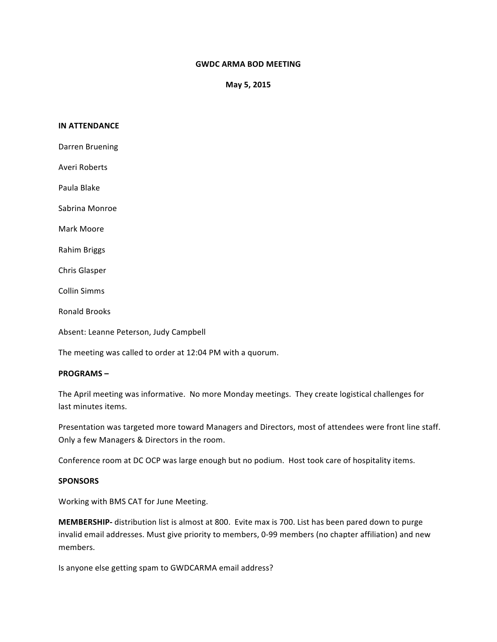# **GWDC ARMA BOD MEETING**

**May 5, 2015**

### **IN ATTENDANCE**

Darren Bruening Averi Roberts Paula Blake Sabrina Monroe Mark Moore Rahim Briggs Chris Glasper Collin Simms Ronald Brooks Absent: Leanne Peterson, Judy Campbell

The meeting was called to order at 12:04 PM with a quorum.

## **PROGRAMS** –

The April meeting was informative. No more Monday meetings. They create logistical challenges for last minutes items.

Presentation was targeted more toward Managers and Directors, most of attendees were front line staff. Only a few Managers & Directors in the room.

Conference room at DC OCP was large enough but no podium. Host took care of hospitality items.

# **SPONSORS**

Working with BMS CAT for June Meeting.

**MEMBERSHIP-** distribution list is almost at 800. Evite max is 700. List has been pared down to purge invalid email addresses. Must give priority to members, 0-99 members (no chapter affiliation) and new members.

Is anyone else getting spam to GWDCARMA email address?